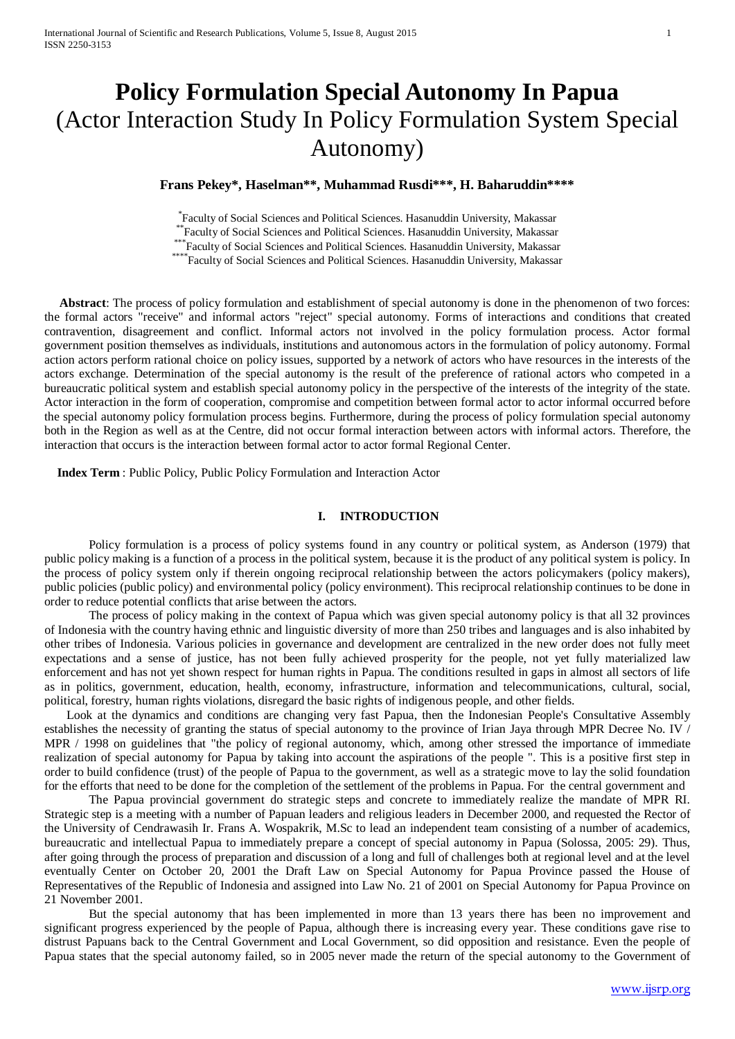# **Policy Formulation Special Autonomy In Papua** (Actor Interaction Study In Policy Formulation System Special Autonomy)

## **Frans Pekey\*, Haselman\*\*, Muhammad Rusdi\*\*\*, H. Baharuddin\*\*\*\***

Faculty of Social Sciences and Political Sciences. Hasanuddin University, Makassar

Faculty of Social Sciences and Political Sciences. Hasanuddin University, Makassar<br>
\*\*\* Faculty of Social Sciences and Political Sciences. Hasanuddin University, Makassar<br>
\*\*\*\* Faculty of Social Sciences and Political Scie

 **Abstract**: The process of policy formulation and establishment of special autonomy is done in the phenomenon of two forces: the formal actors "receive" and informal actors "reject" special autonomy. Forms of interactions and conditions that created contravention, disagreement and conflict. Informal actors not involved in the policy formulation process. Actor formal government position themselves as individuals, institutions and autonomous actors in the formulation of policy autonomy. Formal action actors perform rational choice on policy issues, supported by a network of actors who have resources in the interests of the actors exchange. Determination of the special autonomy is the result of the preference of rational actors who competed in a bureaucratic political system and establish special autonomy policy in the perspective of the interests of the integrity of the state. Actor interaction in the form of cooperation, compromise and competition between formal actor to actor informal occurred before the special autonomy policy formulation process begins. Furthermore, during the process of policy formulation special autonomy both in the Region as well as at the Centre, did not occur formal interaction between actors with informal actors. Therefore, the interaction that occurs is the interaction between formal actor to actor formal Regional Center.

 **Index Term** : Public Policy, Public Policy Formulation and Interaction Actor

#### **I. INTRODUCTION**

Policy formulation is a process of policy systems found in any country or political system, as Anderson (1979) that public policy making is a function of a process in the political system, because it is the product of any political system is policy. In the process of policy system only if therein ongoing reciprocal relationship between the actors policymakers (policy makers), public policies (public policy) and environmental policy (policy environment). This reciprocal relationship continues to be done in order to reduce potential conflicts that arise between the actors.

The process of policy making in the context of Papua which was given special autonomy policy is that all 32 provinces of Indonesia with the country having ethnic and linguistic diversity of more than 250 tribes and languages and is also inhabited by other tribes of Indonesia. Various policies in governance and development are centralized in the new order does not fully meet expectations and a sense of justice, has not been fully achieved prosperity for the people, not yet fully materialized law enforcement and has not yet shown respect for human rights in Papua. The conditions resulted in gaps in almost all sectors of life as in politics, government, education, health, economy, infrastructure, information and telecommunications, cultural, social, political, forestry, human rights violations, disregard the basic rights of indigenous people, and other fields.

Look at the dynamics and conditions are changing very fast Papua, then the Indonesian People's Consultative Assembly establishes the necessity of granting the status of special autonomy to the province of Irian Jaya through MPR Decree No. IV / MPR / 1998 on guidelines that "the policy of regional autonomy, which, among other stressed the importance of immediate realization of special autonomy for Papua by taking into account the aspirations of the people ". This is a positive first step in order to build confidence (trust) of the people of Papua to the government, as well as a strategic move to lay the solid foundation for the efforts that need to be done for the completion of the settlement of the problems in Papua. For the central government and

The Papua provincial government do strategic steps and concrete to immediately realize the mandate of MPR RI. Strategic step is a meeting with a number of Papuan leaders and religious leaders in December 2000, and requested the Rector of the University of Cendrawasih Ir. Frans A. Wospakrik, M.Sc to lead an independent team consisting of a number of academics, bureaucratic and intellectual Papua to immediately prepare a concept of special autonomy in Papua (Solossa, 2005: 29). Thus, after going through the process of preparation and discussion of a long and full of challenges both at regional level and at the level eventually Center on October 20, 2001 the Draft Law on Special Autonomy for Papua Province passed the House of Representatives of the Republic of Indonesia and assigned into Law No. 21 of 2001 on Special Autonomy for Papua Province on 21 November 2001.

But the special autonomy that has been implemented in more than 13 years there has been no improvement and significant progress experienced by the people of Papua, although there is increasing every year. These conditions gave rise to distrust Papuans back to the Central Government and Local Government, so did opposition and resistance. Even the people of Papua states that the special autonomy failed, so in 2005 never made the return of the special autonomy to the Government of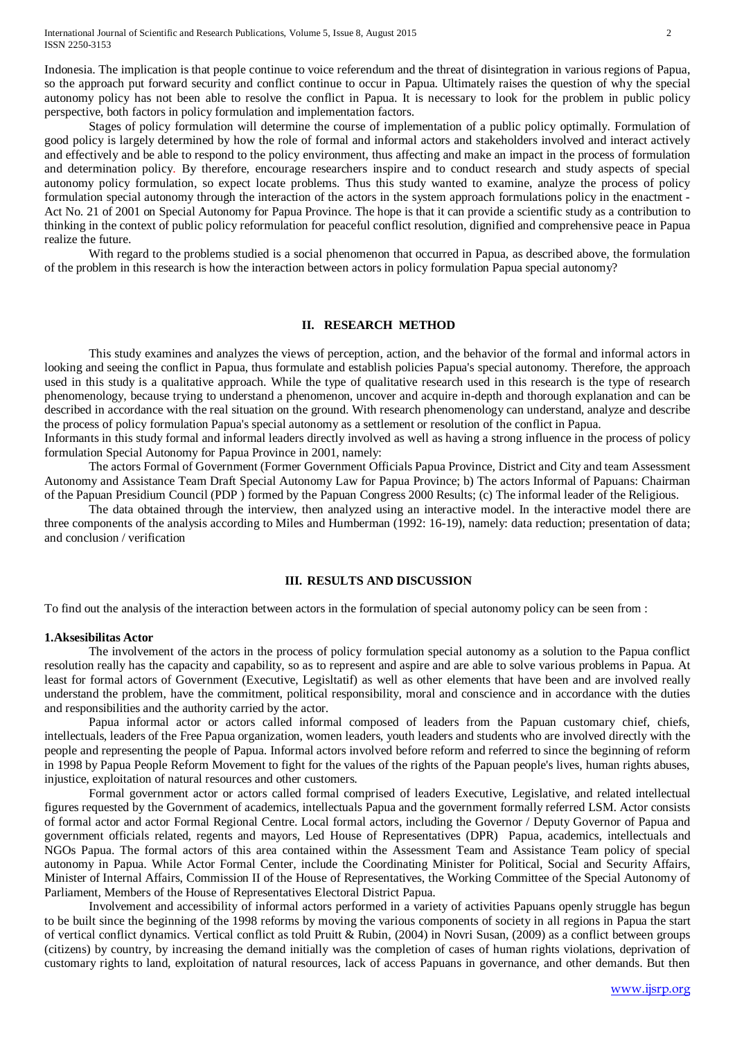Indonesia. The implication is that people continue to voice referendum and the threat of disintegration in various regions of Papua, so the approach put forward security and conflict continue to occur in Papua. Ultimately raises the question of why the special autonomy policy has not been able to resolve the conflict in Papua. It is necessary to look for the problem in public policy perspective, both factors in policy formulation and implementation factors.

Stages of policy formulation will determine the course of implementation of a public policy optimally. Formulation of good policy is largely determined by how the role of formal and informal actors and stakeholders involved and interact actively and effectively and be able to respond to the policy environment, thus affecting and make an impact in the process of formulation and determination policy. By therefore, encourage researchers inspire and to conduct research and study aspects of special autonomy policy formulation, so expect locate problems. Thus this study wanted to examine, analyze the process of policy formulation special autonomy through the interaction of the actors in the system approach formulations policy in the enactment - Act No. 21 of 2001 on Special Autonomy for Papua Province. The hope is that it can provide a scientific study as a contribution to thinking in the context of public policy reformulation for peaceful conflict resolution, dignified and comprehensive peace in Papua realize the future.

With regard to the problems studied is a social phenomenon that occurred in Papua, as described above, the formulation of the problem in this research is how the interaction between actors in policy formulation Papua special autonomy?

#### **II. RESEARCH METHOD**

This study examines and analyzes the views of perception, action, and the behavior of the formal and informal actors in looking and seeing the conflict in Papua, thus formulate and establish policies Papua's special autonomy. Therefore, the approach used in this study is a qualitative approach. While the type of qualitative research used in this research is the type of research phenomenology, because trying to understand a phenomenon, uncover and acquire in-depth and thorough explanation and can be described in accordance with the real situation on the ground. With research phenomenology can understand, analyze and describe the process of policy formulation Papua's special autonomy as a settlement or resolution of the conflict in Papua.

Informants in this study formal and informal leaders directly involved as well as having a strong influence in the process of policy formulation Special Autonomy for Papua Province in 2001, namely:

The actors Formal of Government (Former Government Officials Papua Province, District and City and team Assessment Autonomy and Assistance Team Draft Special Autonomy Law for Papua Province; b) The actors Informal of Papuans: Chairman of the Papuan Presidium Council (PDP ) formed by the Papuan Congress 2000 Results; (c) The informal leader of the Religious.

The data obtained through the interview, then analyzed using an interactive model. In the interactive model there are three components of the analysis according to Miles and Humberman (1992: 16-19), namely: data reduction; presentation of data; and conclusion / verification

#### **III. RESULTS AND DISCUSSION**

To find out the analysis of the interaction between actors in the formulation of special autonomy policy can be seen from :

#### **1.Aksesibilitas Actor**

The involvement of the actors in the process of policy formulation special autonomy as a solution to the Papua conflict resolution really has the capacity and capability, so as to represent and aspire and are able to solve various problems in Papua. At least for formal actors of Government (Executive, Legisltatif) as well as other elements that have been and are involved really understand the problem, have the commitment, political responsibility, moral and conscience and in accordance with the duties and responsibilities and the authority carried by the actor.

Papua informal actor or actors called informal composed of leaders from the Papuan customary chief, chiefs, intellectuals, leaders of the Free Papua organization, women leaders, youth leaders and students who are involved directly with the people and representing the people of Papua. Informal actors involved before reform and referred to since the beginning of reform in 1998 by Papua People Reform Movement to fight for the values of the rights of the Papuan people's lives, human rights abuses, injustice, exploitation of natural resources and other customers.

Formal government actor or actors called formal comprised of leaders Executive, Legislative, and related intellectual figures requested by the Government of academics, intellectuals Papua and the government formally referred LSM. Actor consists of formal actor and actor Formal Regional Centre. Local formal actors, including the Governor / Deputy Governor of Papua and government officials related, regents and mayors, Led House of Representatives (DPR) Papua, academics, intellectuals and NGOs Papua. The formal actors of this area contained within the Assessment Team and Assistance Team policy of special autonomy in Papua. While Actor Formal Center, include the Coordinating Minister for Political, Social and Security Affairs, Minister of Internal Affairs, Commission II of the House of Representatives, the Working Committee of the Special Autonomy of Parliament, Members of the House of Representatives Electoral District Papua.

Involvement and accessibility of informal actors performed in a variety of activities Papuans openly struggle has begun to be built since the beginning of the 1998 reforms by moving the various components of society in all regions in Papua the start of vertical conflict dynamics. Vertical conflict as told Pruitt & Rubin, (2004) in Novri Susan, (2009) as a conflict between groups (citizens) by country, by increasing the demand initially was the completion of cases of human rights violations, deprivation of customary rights to land, exploitation of natural resources, lack of access Papuans in governance, and other demands. But then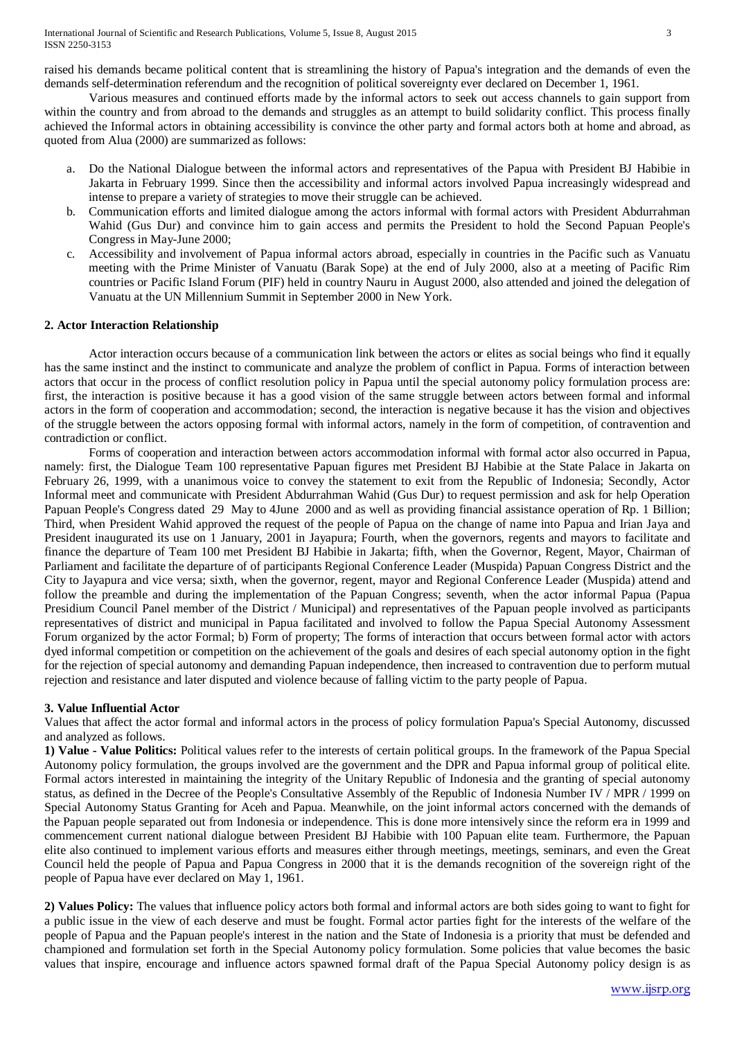raised his demands became political content that is streamlining the history of Papua's integration and the demands of even the demands self-determination referendum and the recognition of political sovereignty ever declared on December 1, 1961.

Various measures and continued efforts made by the informal actors to seek out access channels to gain support from within the country and from abroad to the demands and struggles as an attempt to build solidarity conflict. This process finally achieved the Informal actors in obtaining accessibility is convince the other party and formal actors both at home and abroad, as quoted from Alua (2000) are summarized as follows:

- a. Do the National Dialogue between the informal actors and representatives of the Papua with President BJ Habibie in Jakarta in February 1999. Since then the accessibility and informal actors involved Papua increasingly widespread and intense to prepare a variety of strategies to move their struggle can be achieved.
- b. Communication efforts and limited dialogue among the actors informal with formal actors with President Abdurrahman Wahid (Gus Dur) and convince him to gain access and permits the President to hold the Second Papuan People's Congress in May-June 2000;
- c. Accessibility and involvement of Papua informal actors abroad, especially in countries in the Pacific such as Vanuatu meeting with the Prime Minister of Vanuatu (Barak Sope) at the end of July 2000, also at a meeting of Pacific Rim countries or Pacific Island Forum (PIF) held in country Nauru in August 2000, also attended and joined the delegation of Vanuatu at the UN Millennium Summit in September 2000 in New York.

### **2. Actor Interaction Relationship**

Actor interaction occurs because of a communication link between the actors or elites as social beings who find it equally has the same instinct and the instinct to communicate and analyze the problem of conflict in Papua. Forms of interaction between actors that occur in the process of conflict resolution policy in Papua until the special autonomy policy formulation process are: first, the interaction is positive because it has a good vision of the same struggle between actors between formal and informal actors in the form of cooperation and accommodation; second, the interaction is negative because it has the vision and objectives of the struggle between the actors opposing formal with informal actors, namely in the form of competition, of contravention and contradiction or conflict.

Forms of cooperation and interaction between actors accommodation informal with formal actor also occurred in Papua, namely: first, the Dialogue Team 100 representative Papuan figures met President BJ Habibie at the State Palace in Jakarta on February 26, 1999, with a unanimous voice to convey the statement to exit from the Republic of Indonesia; Secondly, Actor Informal meet and communicate with President Abdurrahman Wahid (Gus Dur) to request permission and ask for help Operation Papuan People's Congress dated 29 May to 4June 2000 and as well as providing financial assistance operation of Rp. 1 Billion; Third, when President Wahid approved the request of the people of Papua on the change of name into Papua and Irian Jaya and President inaugurated its use on 1 January, 2001 in Jayapura; Fourth, when the governors, regents and mayors to facilitate and finance the departure of Team 100 met President BJ Habibie in Jakarta; fifth, when the Governor, Regent, Mayor, Chairman of Parliament and facilitate the departure of of participants Regional Conference Leader (Muspida) Papuan Congress District and the City to Jayapura and vice versa; sixth, when the governor, regent, mayor and Regional Conference Leader (Muspida) attend and follow the preamble and during the implementation of the Papuan Congress; seventh, when the actor informal Papua (Papua Presidium Council Panel member of the District / Municipal) and representatives of the Papuan people involved as participants representatives of district and municipal in Papua facilitated and involved to follow the Papua Special Autonomy Assessment Forum organized by the actor Formal; b) Form of property; The forms of interaction that occurs between formal actor with actors dyed informal competition or competition on the achievement of the goals and desires of each special autonomy option in the fight for the rejection of special autonomy and demanding Papuan independence, then increased to contravention due to perform mutual rejection and resistance and later disputed and violence because of falling victim to the party people of Papua.

#### **3. Value Influential Actor**

Values that affect the actor formal and informal actors in the process of policy formulation Papua's Special Autonomy, discussed and analyzed as follows.

**1) Value - Value Politics:** Political values refer to the interests of certain political groups. In the framework of the Papua Special Autonomy policy formulation, the groups involved are the government and the DPR and Papua informal group of political elite. Formal actors interested in maintaining the integrity of the Unitary Republic of Indonesia and the granting of special autonomy status, as defined in the Decree of the People's Consultative Assembly of the Republic of Indonesia Number IV / MPR / 1999 on Special Autonomy Status Granting for Aceh and Papua. Meanwhile, on the joint informal actors concerned with the demands of the Papuan people separated out from Indonesia or independence. This is done more intensively since the reform era in 1999 and commencement current national dialogue between President BJ Habibie with 100 Papuan elite team. Furthermore, the Papuan elite also continued to implement various efforts and measures either through meetings, meetings, seminars, and even the Great Council held the people of Papua and Papua Congress in 2000 that it is the demands recognition of the sovereign right of the people of Papua have ever declared on May 1, 1961.

**2) Values Policy:** The values that influence policy actors both formal and informal actors are both sides going to want to fight for a public issue in the view of each deserve and must be fought. Formal actor parties fight for the interests of the welfare of the people of Papua and the Papuan people's interest in the nation and the State of Indonesia is a priority that must be defended and championed and formulation set forth in the Special Autonomy policy formulation. Some policies that value becomes the basic values that inspire, encourage and influence actors spawned formal draft of the Papua Special Autonomy policy design is as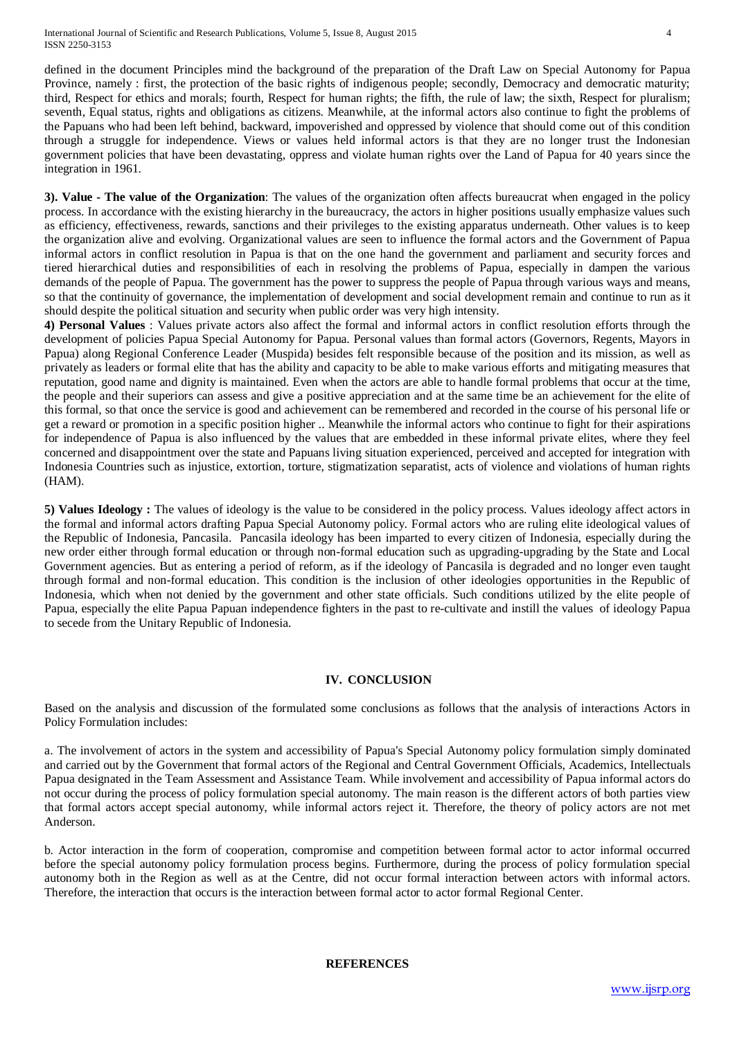defined in the document Principles mind the background of the preparation of the Draft Law on Special Autonomy for Papua Province, namely : first, the protection of the basic rights of indigenous people; secondly, Democracy and democratic maturity; third, Respect for ethics and morals; fourth, Respect for human rights; the fifth, the rule of law; the sixth, Respect for pluralism; seventh, Equal status, rights and obligations as citizens. Meanwhile, at the informal actors also continue to fight the problems of the Papuans who had been left behind, backward, impoverished and oppressed by violence that should come out of this condition through a struggle for independence. Views or values held informal actors is that they are no longer trust the Indonesian government policies that have been devastating, oppress and violate human rights over the Land of Papua for 40 years since the integration in 1961.

**3). Value - The value of the Organization**: The values of the organization often affects bureaucrat when engaged in the policy process. In accordance with the existing hierarchy in the bureaucracy, the actors in higher positions usually emphasize values such as efficiency, effectiveness, rewards, sanctions and their privileges to the existing apparatus underneath. Other values is to keep the organization alive and evolving. Organizational values are seen to influence the formal actors and the Government of Papua informal actors in conflict resolution in Papua is that on the one hand the government and parliament and security forces and tiered hierarchical duties and responsibilities of each in resolving the problems of Papua, especially in dampen the various demands of the people of Papua. The government has the power to suppress the people of Papua through various ways and means, so that the continuity of governance, the implementation of development and social development remain and continue to run as it should despite the political situation and security when public order was very high intensity.

**4) Personal Values** : Values private actors also affect the formal and informal actors in conflict resolution efforts through the development of policies Papua Special Autonomy for Papua. Personal values than formal actors (Governors, Regents, Mayors in Papua) along Regional Conference Leader (Muspida) besides felt responsible because of the position and its mission, as well as privately as leaders or formal elite that has the ability and capacity to be able to make various efforts and mitigating measures that reputation, good name and dignity is maintained. Even when the actors are able to handle formal problems that occur at the time, the people and their superiors can assess and give a positive appreciation and at the same time be an achievement for the elite of this formal, so that once the service is good and achievement can be remembered and recorded in the course of his personal life or get a reward or promotion in a specific position higher .. Meanwhile the informal actors who continue to fight for their aspirations for independence of Papua is also influenced by the values that are embedded in these informal private elites, where they feel concerned and disappointment over the state and Papuans living situation experienced, perceived and accepted for integration with Indonesia Countries such as injustice, extortion, torture, stigmatization separatist, acts of violence and violations of human rights (HAM).

**5) Values Ideology :** The values of ideology is the value to be considered in the policy process. Values ideology affect actors in the formal and informal actors drafting Papua Special Autonomy policy. Formal actors who are ruling elite ideological values of the Republic of Indonesia, Pancasila. Pancasila ideology has been imparted to every citizen of Indonesia, especially during the new order either through formal education or through non-formal education such as upgrading-upgrading by the State and Local Government agencies. But as entering a period of reform, as if the ideology of Pancasila is degraded and no longer even taught through formal and non-formal education. This condition is the inclusion of other ideologies opportunities in the Republic of Indonesia, which when not denied by the government and other state officials. Such conditions utilized by the elite people of Papua, especially the elite Papua Papuan independence fighters in the past to re-cultivate and instill the values of ideology Papua to secede from the Unitary Republic of Indonesia.

## **IV. CONCLUSION**

Based on the analysis and discussion of the formulated some conclusions as follows that the analysis of interactions Actors in Policy Formulation includes:

a. The involvement of actors in the system and accessibility of Papua's Special Autonomy policy formulation simply dominated and carried out by the Government that formal actors of the Regional and Central Government Officials, Academics, Intellectuals Papua designated in the Team Assessment and Assistance Team. While involvement and accessibility of Papua informal actors do not occur during the process of policy formulation special autonomy. The main reason is the different actors of both parties view that formal actors accept special autonomy, while informal actors reject it. Therefore, the theory of policy actors are not met Anderson.

b. Actor interaction in the form of cooperation, compromise and competition between formal actor to actor informal occurred before the special autonomy policy formulation process begins. Furthermore, during the process of policy formulation special autonomy both in the Region as well as at the Centre, did not occur formal interaction between actors with informal actors. Therefore, the interaction that occurs is the interaction between formal actor to actor formal Regional Center.